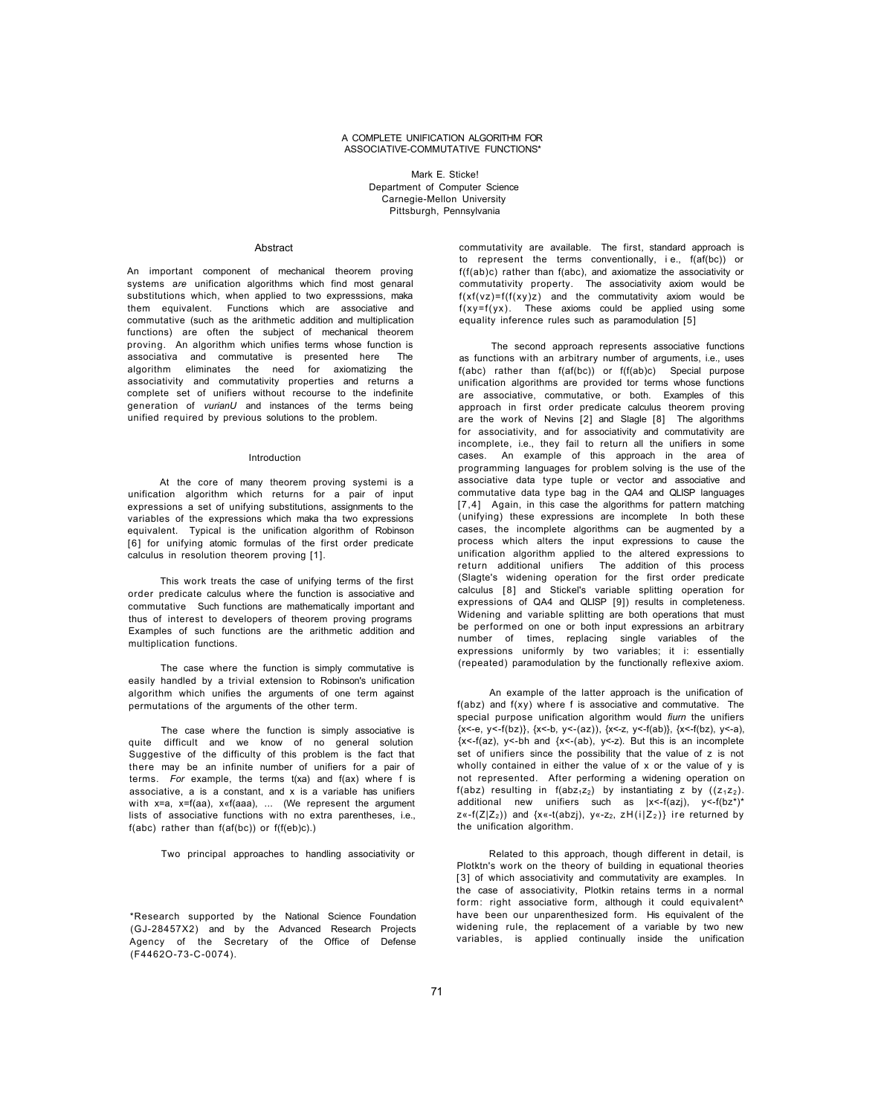## A COMPLETE UNIFICATION ALGORITHM FOR ASSOCIATIVE-COMMUTATIVE FUNCTIONS\*

Mark E. Sticke! Department of Computer Science Carnegie-Mellon University Pittsburgh, Pennsylvania

## Abstract

An important component of mechanical theorem proving systems a*re* unification algorithms which find most genaral substitutions which, when applied to two expresssions, maka them equivalent. Functions which are associative and commutative (such as the arithmetic addition and multiplication functions) are often the subject of mechanical theorem proving. An algorithm which unifies terms whose function is associativa and commutative is presented here The algorithm eliminates the need for axiomatizing the associativity and commutativity properties and returns a complete set of unifiers without recourse to the indefinite generation of *vurianU* and instances of the terms being unified required by previous solutions to the problem.

## Introduction

At the core of many theorem proving systemi is a unification algorithm which returns for a pair of input expressions a set of unifying substitutions, assignments to the variables of the expressions which maka tha two expressions equivalent. Typical is the unification algorithm of Robinson [6] for unifying atomic formulas of the first order predicate calculus in resolution theorem proving [1].

This work treats the case of unifying terms of the first order predicate calculus where the function is associative and commutative Such functions are mathematically important and thus of interest to developers of theorem proving programs Examples of such functions are the arithmetic addition and multiplication functions.

The case where the function is simply commutative is easily handled by a trivial extension to Robinson's unification algorithm which unifies the arguments of one term against permutations of the arguments of the other term.

The case where the function is simply associative is quite difficult and we know of no general solution Suggestive of the difficulty of this problem is the fact that there may be an infinite number of unifiers for a pair of terms. *For* example, the terms t(xa) and f(ax) where f is associative, a is a constant, and x is a variable has unifiers with x=a, x=f(aa), x«f(aaa), ... (We represent the argument lists of associative functions with no extra parentheses, i.e., f(abc) rather than f(af(bc)) or f(f(eb)c).)

Two principal approaches to handling associativity or

\*Research supported by the National Science Foundation (GJ-28457X2) and by the Advanced Research Projects Agency of the Secretary of the Office of Defense (F4462O-73-C-0074).

commutativity are available. The first, standard approach is to represent the terms conventionally, i e., f(af(bc)) or f(f(ab)c) rather than f(abc), and axiomatize the associativity or commutativity property. The associativity axiom would be  $f(xf(vz)=f(f(xy)z)$  and the commutativity axiom would be  $f(xy=f(yx)$ . These axioms could be applied using some equality inference rules such as paramodulation [5]

The second approach represents associative functions as functions with an arbitrary number of arguments, i.e., uses f(abc) rather than f(af(bc)) or f(f(ab)c) Special purpose unification algorithms are provided tor terms whose functions are associative, commutative, or both. Examples of this approach in first order predicate calculus theorem proving are the work of Nevins [2] and Slagle [8] The algorithms for associativity, and for associativity and commutativity are incomplete, i.e., they fail to return all the unifiers in some cases. An example of this approach in the area of programming languages for problem solving is the use of the associative data type tuple or vector and associative and commutative data type bag in the QA4 and QLISP languages [7,4] Again, in this case the algorithms for pattern matching (unifying) these expressions are incomplete In both these cases, the incomplete algorithms can be augmented by a process which alters the input expressions to cause the unification algorithm applied to the altered expressions to return additional unifiers The addition of this process (Slagte's widening operation for the first order predicate calculus [8] and Stickel's variable splitting operation for expressions of QA4 and QLISP [9]) results in completeness. Widening and variable splitting are both operations that must be performed on one or both input expressions an arbitrary number of times, replacing single variables of the expressions uniformly by two variables; it i: essentially (repeated) paramodulation by the functionally reflexive axiom.

An example of the latter approach is the unification of  $f(abc)$  and  $f(xy)$  where f is associative and commutative. The special purpose unification algorithm would *fiurn* the unifiers  $\{x<-e, y<-f(bz)\}, \{x<-b, y<-(az)\}, \{x<-z, y<-f(ab)\}, \{x<-f(bz), y<-a\},$  $\{x \leq -f(az), y \leq -bh, and \{x \leq -(ab), y \leq -z\}.$  But this is an incomplete set of unifiers since the possibility that the value of z is not wholly contained in either the value of x or the value of y is not represented. After performing a widening operation on f(abz) resulting in  $f(abz_1z_2)$  by instantiating z by  $((z_1z_2)$ . additional new unifiers such as  $|x < -f(az)$ ,  $y < -f(bz^*)^*$  $z\ll -f(Z|Z_2)$ ) and {x«-t(abzj), y«-z<sub>2</sub>, zH(i|Z<sub>2</sub>)} ire returned by the unification algorithm.

Related to this approach, though different in detail, is Plotktn's work on the theory of building in equational theories [3] of which associativity and commutativity are examples. In the case of associativity, Plotkin retains terms in a normal form: right associative form, although it could equivalent<sup>^</sup> have been our unparenthesized form. His equivalent of the widening rule, the replacement of a variable by two new variables, is applied continually inside the unification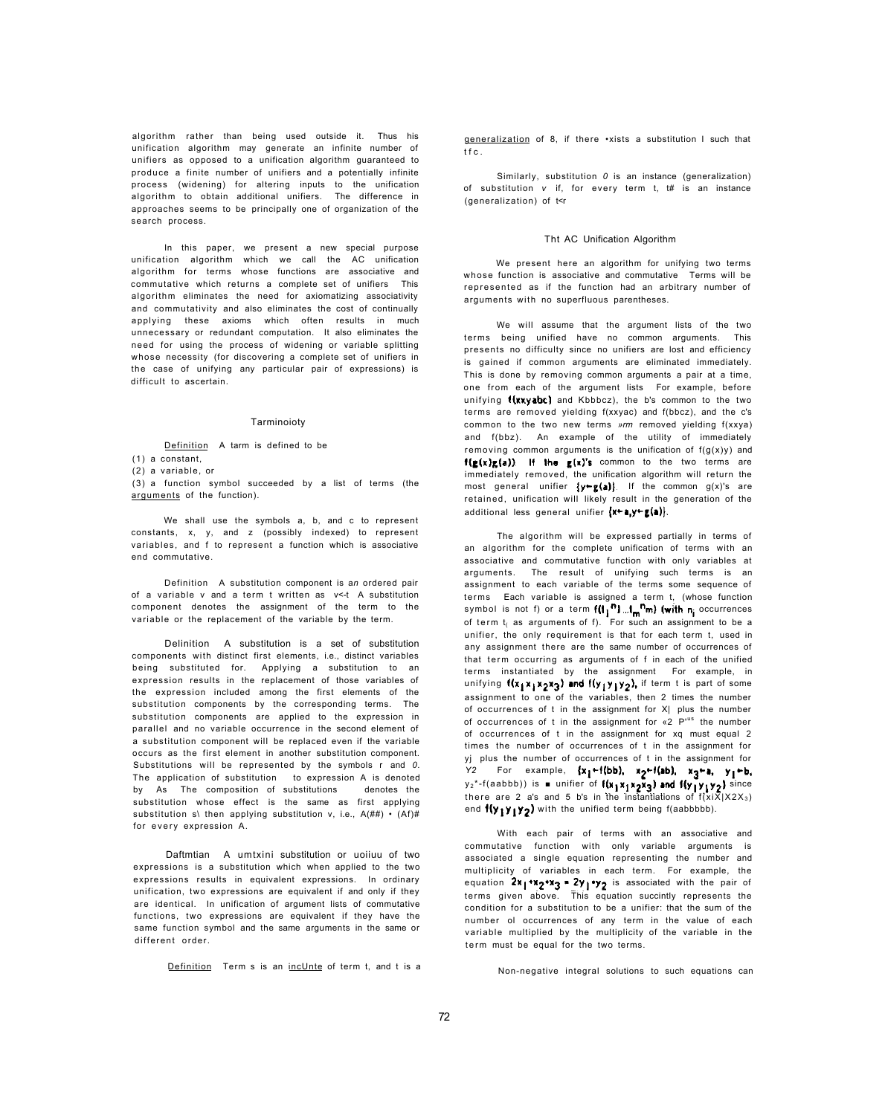algorithm rather than being used outside it. Thus his unification algorithm may generate an infinite number of unifiers as opposed to a unification algorithm guaranteed to produce a finite number of unifiers and a potentially infinite process (widening) for altering inputs to the unification algorithm to obtain additional unifiers. The difference in approaches seems to be principally one of organization of the search process.

In this paper, we present a new special purpose unification algorithm which we call the AC unification algorithm for terms whose functions are associative and commutative which returns a complete set of unifiers This algorithm eliminates the need for axiomatizing associativity and commutativity and also eliminates the cost of continually applying these axioms which often results in much unnecessary or redundant computation. It also eliminates the need for using the process of widening or variable splitting whose necessity (for discovering a complete set of unifiers in the case of unifying any particular pair of expressions) is difficult to ascertain.

#### Tarminoioty

Definition A tarm is defined to be

(1) a constant,

(2) a variable, or

by As The composition of substitutions denotes the substitution whose effect is the same as first applying substitution s\ then applying substitution v, i.e.,  $A(\# \#) \cdot (Af) \#$ for every expression A.

(3) a function symbol succeeded by a list of terms (the arguments of the function).

We shall use the symbols a, b, and c to represent constants, x, y, and z (possibly indexed) to represent variables, and f to represent a function which is associative end commutative.

Definition A substitution component is a*n* ordered pair of a variable v and a term t written as v<-t A substitution component denotes the assignment of the term to the variable or the replacement of the variable by the term.

We will assume that the argument lists of the two terms being unified have no common arguments. This presents no difficulty since no unifiers are lost and efficiency is gained if common arguments are eliminated immediately. This is done by removing common arguments a pair at a time, one from each of the argument lists For example, before unifying  $\{(x \times y \cdot a \cdot b \cdot c) \}$  and Kbbbcz), the b's common to the two terms are removed yielding f(xxyac) and f(bbcz), and the c's common to the two new terms *»rm* removed yielding f(xxya) and f(bbz). An example of the utility of immediately removing common arguments is the unification of  $f(q(x)y)$  and  $f(g(x), g(a))$ . If the  $g(x)'s$  common to the two terms are immediately removed, the unification algorithm will return the most general unifier  $\{y \in g(a)\}$ . If the common g(x)'s are retained, unification will likely result in the generation of the additional less general unifier  $\{x \leftarrow a, y \leftarrow g(a)\}$ .

Delinition A substitution is a set of substitution components with distinct first elements, i.e., distinct variables being substituted for. Applying a substitution to an expression results in the replacement of those variables of the expression included among the first elements of the substitution components by the corresponding terms. The substitution components are applied to the expression in parallel and no variable occurrence in the second element of a substitution component will be replaced even if the variable occurs as the first element in another substitution component. Substitutions will be represented by the symbols r and *0*. The application of substitution to expression A is denoted

The algorithm will be expressed partially in terms of an algorithm for the complete unification of terms with an associative and commutative function with only variables at arguments. The result of unifying such terms is an assignment to each variable of the terms some sequence of terms Each variable is assigned a term t, (whose function symbol is not f) or a term  $f(I_1^m n)$  ...  $I_m^n m$  (with  $n_i$  occurrences of term  $t_i$  as arguments of f). For such an assignment to be a unifier, the only requirement is that for each term t, used in any assignment there are the same number of occurrences of that term occurring as arguments of f in each of the unified terms instantiated by the assignment For example, in unifying  $f(x_1x_1x_2x_3)$  and  $f(y_1y_1y_2)$ , if term t is part of some assignment to one of the variables, then 2 times the number of occurrences of t in the assignment for X| plus the number of occurrences of t in the assignment for «2 P<sup>us</sup> the number of occurrences of t in the assignment for xq must equal 2 times the number of occurrences of t in the assignment for yj plus the number of occurrences of t in the assignment for *Y2* For example, {x<sub>1</sub>←f(bb), x<sub>2</sub>←f(ab), x<sub>2</sub>←a, y<sub>1</sub>←b,

Daftmtian A umtxini substitution or uoiiuu of two expressions is a substitution which when applied to the two expressions results in equivalent expressions. In ordinary unification, two expressions are equivalent if and only if they are identical. In unification of argument lists of commutative functions, two expressions are equivalent if they have the same function symbol and the same arguments in the same or different order.

Definition Term s is an incUnte of term t, and t is a

 $y_2^*$ -f(aabbb)) is  $\blacksquare$  unifier of  $f(x_1x_1x_2x_3)$  and  $f(y_1y_1y_2)$  since there are 2 a's and 5 b's in the instantiations of  $f(x)X|X2X_3$ end  $\{y_1y_1y_2\}$  with the unified term being f(aabbbbb).

With each pair of terms with an associative and commutative function with only variable arguments is associated a single equation representing the number and multiplicity of variables in each term. For example, the equation  $2x_1 \rightarrow x_2 \rightarrow z$  is associated with the pair of terms given above. This equation succintly represents the condition for a substitution to be a unifier: that the sum of the number ol occurrences of any term in the value of each variable multiplied by the multiplicity of the variable in the term must be equal for the two terms.

generalization of 8, if there •xists a substitution I such that tfc .

Similarly, substitution *0* is an instance (generalization) of substitution *v* if, for every term t, t# is an instance (generalization) of t<r

#### Tht AC Unification Algorithm

We present here an algorithm for unifying two terms whose function is associative and commutative Terms will be represented as if the function had an arbitrary number of arguments with no superfluous parentheses.

Non-negative integral solutions to such equations can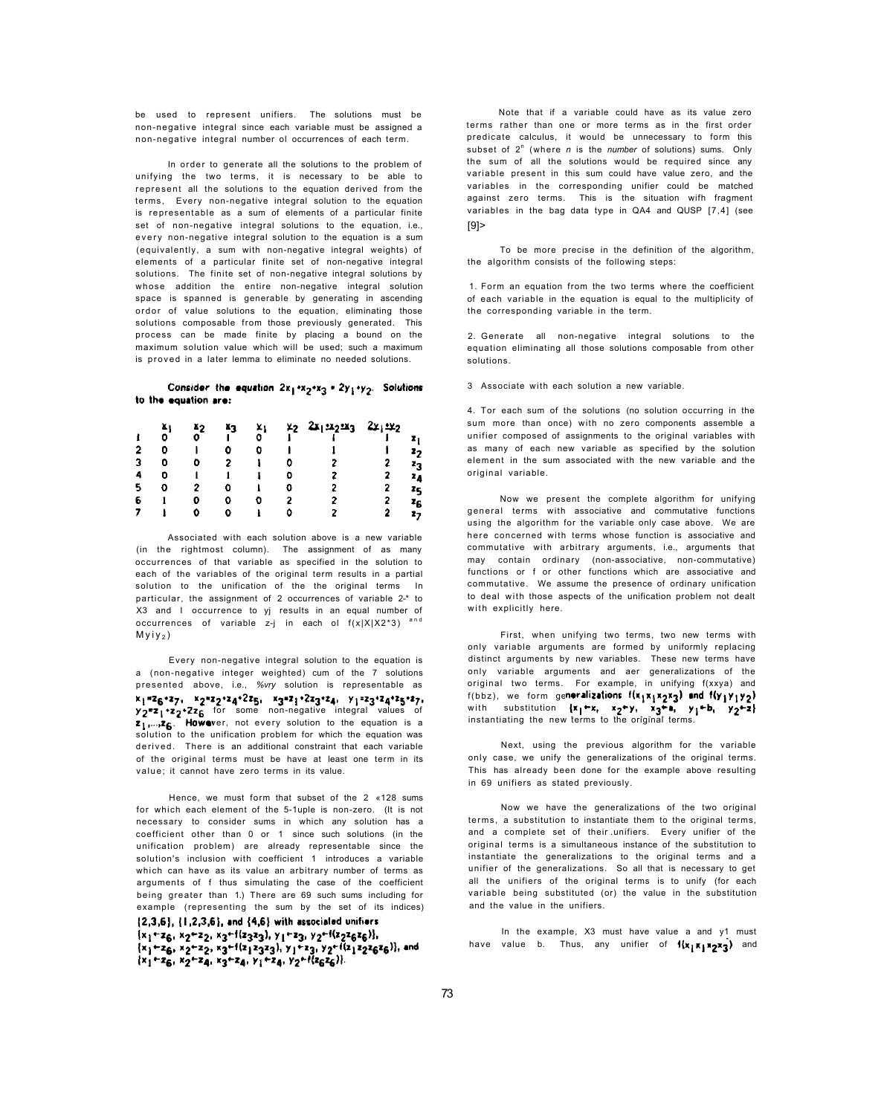be used to represent unifiers. The solutions must be non-negative integral since each variable must be assigned a non-negative integral number ol occurrences of each term.

Associated with each solution above is a new variable (in the rightmost column). The assignment of as many occurrences of that variable as specified in the solution to each of the variables of the original term results in a partial solution to the unification of the the original terms In particular, the assignment of 2 occurrences of variable 2-\* to X3 and I occurrence to yj results in an equal number of occurrences of variable z-j in each ol  $f(x|X|X2^*3)$  <sup>and</sup>  $Myiy<sub>2</sub>$ )

In order to generate all the solutions to the problem of unifying the two terms, it is necessary to be able to represent all the solutions to the equation derived from the terms, Every non-negative integral solution to the equation is representable as a sum of elements of a particular finite set of non-negative integral solutions to the equation, i.e., every non-negative integral solution to the equation is a sum (equivalently, a sum with non-negative integral weights) of elements of a particular finite set of non-negative integral solutions. The finite set of non-negative integral solutions by whose addition the entire non-negative integral solution space is spanned is generable by generating in ascending ordor of value solutions to the equation, eliminating those solutions composable from those previously generated. This process can be made finite by placing a bound on the maximum solution value which will be used; such a maximum is proved in a later lemma to eliminate no needed solutions.

# Consider the equation  $2x_1 \cdot x_2 \cdot x_3$  =  $2y_1 \cdot y_2$ . Solutions to the equation are:

|   | 4 | Ä2 | ĂЗ | ×ı | $x_2$ $2x_1 \cdot x_2 \cdot x_3$ $2x_1 \cdot x_2$ |                |
|---|---|----|----|----|---------------------------------------------------|----------------|
|   | o |    |    | σ  |                                                   |                |
|   |   |    |    |    |                                                   | Zŋ             |
|   |   |    |    |    | 2                                                 | Zo.            |
| 4 |   |    |    |    |                                                   | 24             |
| 5 |   |    |    |    |                                                   | Żς             |
| 6 |   |    |    |    |                                                   | $\mathbf{z}_C$ |
|   |   |    |    |    |                                                   | 27             |

Hence, we must form that subset of the 2 «128 sums for which each element of the 5-1uple is non-zero. (It is not necessary to consider sums in which any solution has a coefficient other than 0 or 1 since such solutions (in the unification problem) are already representable since the solution's inclusion with coefficient 1 introduces a variable which can have as its value an arbitrary number of terms as arguments of f thus simulating the case of the coefficient being greater than 1.) There are 69 such sums including for example (representing the sum by the set of its indices)  $\{2,3,6\}$ ,  $\{1,2,3,6\}$ , and  $\{4,6\}$  with associated unitiers  ${x_1}_{2}$  +  ${z_6}_{1}$ ,  ${x_2}_{2}$  +  ${z_3}_{1}$  +  ${z_3}_{2}$ ,  ${y_1}_{2}$  +  ${z_3}_{1}$ ,  ${y_2}_{1}$  +  ${z_2}{z_6}{z_6}$ },  $\{x_1+x_6, x_2+z_2, x_3+t(z_1z_3z_3), y_1+z_3, y_2+t(z_1z_2z_6z_6)\}$ , and<br> $\{x_1+x_6, x_2+x_4, x_3+z_4, y_1+z_4, y_2+t(z_6z_6)\}$ .

Note that if a variable could have as its value zero terms rather than one or more terms as in the first order predicate calculus, it would be unnecessary to form this subset of 2<sup>n</sup> (where *n* is the *number* of solutions) sums. Only the sum of all the solutions would be required since any variable present in this sum could have value zero, and the variables in the corresponding unifier could be matched against zero terms. This is the situation wifh fragment variables in the bag data type in QA4 and QUSP [7,4] (see  $[9]$ 

Every non-negative integral solution to the equation is a (non-negative integer weighted) cum of the 7 solutions presented above, i.e., *%vry* solution is representable as  $x_1$ \*26°27,  $x_2$ \*22°24°225,  $x_3$ \*21°223°24,  $y_1$ =23°24°25°27, y<sub>2</sub>"z<sub>1</sub> \*z<sub>2</sub> \*Zz<sub>6</sub> for some non-negative integral values of z<sub>1</sub>,..., z<sub>6</sub>. However, not every solution to the equation is a solution to the unification problem for which the equation was derived. There is an additional constraint that each variable of the original terms must be have at least one term in its value; it cannot have zero terms in its value.

Now we present the complete algorithm for unifying general terms with associative and commutative functions using the algorithm for the variable only case above. We are here concerned with terms whose function is associative and commutative with arbitrary arguments, i.e., arguments that may contain ordinary (non-associative, non-commutative) functions or f or other functions which are associative and commutative. We assume the presence of ordinary unification to deal with those aspects of the unification problem not dealt with explicitly here.

In the example, X3 must have value a and y1 must have value b. Thus, any unifier of  $\{x_1x_1x_2x_3\}$  and

To be more precise in the definition of the algorithm, the algorithm consists of the following steps:

1. Form an equation from the two terms where the coefficient of each variable in the equation is equal to the multiplicity of the corresponding variable in the term.

2. Generate all non-negative integral solutions to the equation eliminating all those solutions composable from other solutions.

## 3 Associate with each solution a new variable.

4. Tor each sum of the solutions (no solution occurring in the sum more than once) with no zero components assemble a unifier composed of assignments to the original variables with as many of each new variable as specified by the solution element in the sum associated with the new variable and the original variable.

First, when unifying two terms, two new terms with only variable arguments are formed by uniformly replacing distinct arguments by new variables. These new terms have only variable arguments and aer generalizations of the original two terms. For example, in unifying f(xxya) and f(bbz), we form generalizations  $f(x_1x_1x_2x_3)$  and  $f(y_1y_1y_2)$ with substitution  $\{x_1-x_2, x_2-y_1, x_3-x_1, y_1+y_1, y_2+y_2\}$ instantiating the new terms to the original terms.

Next, using the previous algorithm for the variable only case, we unify the generalizations of the original terms. This has already been done for the example above resulting in 69 unifiers as stated previously.

Now we have the generalizations of the two original terms, a substitution to instantiate them to the original terms, and a complete set of their .unifiers. Every unifier of the original terms is a simultaneous instance of the substitution to instantiate the generalizations to the original terms and a unifier of the generalizations. So all that is necessary to get all the unifiers of the original terms is to unify (for each variable being substituted (or) the value in the substitution and the value in the unifiers.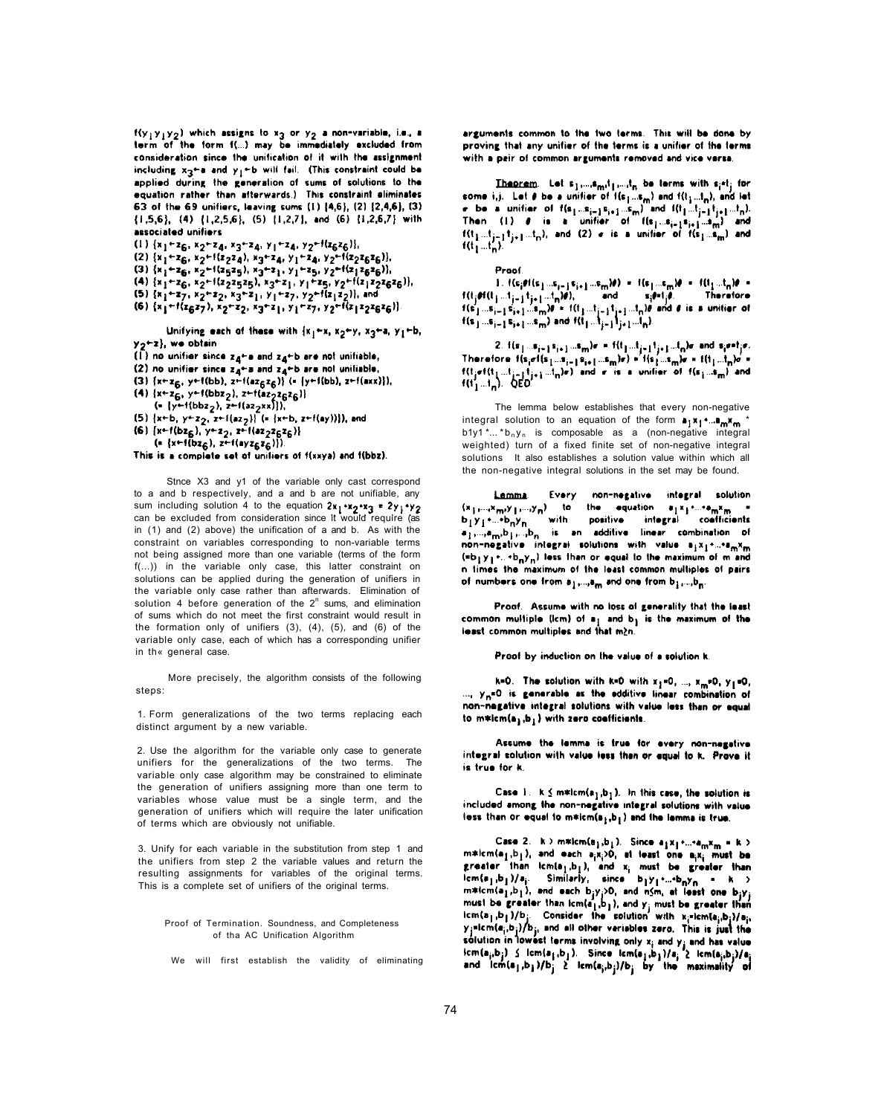$f(y_1y_1y_2)$  which assigns to  $x_3$  or  $y_2$  a non-variable, i.e., a term of the form f(...) may be immediately excluded from consideration since the unification of it with the assignment including  $x_2 + a$  and  $y_1 + b$  will fail. (This constraint could be applied during the generation of sums of solutions to the equation rather than afterwards.) This constraint eliminates 63 of the 69 unifiers, leaving sums  $(1)$   $\{4,6\}$ ,  $(2)$   $\{2,4,6\}$ ,  $(3)$  $\{1,5,6\}$ ,  $\{4\}$   $\{1,2,5,6\}$ ,  $\{5\}$   $\{1,2,7\}$ , and  $\{6\}$   $\{1,2,6,7\}$  with associated unifiers

 $(1)$  {x<sub>1</sub><sup>+2</sup>6, x<sub>2</sub><sup>+2</sup>4, x<sub>3</sub><sup>+2</sup>4, y<sub>1</sub><sup>+2</sup>4, y<sub>2</sub>+1(z<sub>6</sub>z<sub>6</sub>)}, (2)  $\{x_1 + z_6, x_2 + 1(z_2z_4), x_3 + z_4, y_1 + z_4, y_2 + 1(z_2z_6z_6)\}\$ (3)  $\{x_1 + z_6, x_2 + 1(z_5z_5), x_3 + z_1, y_1 + z_5, y_2 + 1(z_1z_6z_6)\}\$ (4)  $\{x_1 + z_6, x_2 + 1(z_2z_5z_5), x_3 + z_1, y_1 + z_5, y_2 + 1(z_1z_2z_6z_6)\},$ (5)  $\{x_1+x_7, x_2+x_2, x_3+z_1, y_1+z_7, y_2+t(x_1z_2)\}$ , and (6)  $\{x_1 + \{x_6x_7\}, x_2 + x_2, x_3 + x_1, y_1 + x_7, y_2 + \{x_1x_2x_6x_6\}\}\$ 

Unifying each of these with  ${x_1+x, x_2+y, x_3+a, y_1+b,$  $y_2+x$ , we obtain

- (1) no unifier since  $z_4$ +a and  $z_4$ +b are not unifiable,
- (2) no unifier since  $z_{4}$ +a and  $z_{4}$ +b are not unifiable.
- (3) { $x+x_6$ ,  $y+f(bb)$ ,  $z+f(az_6z_6)$ } (= { $y+f(bb)$ ,  $z+f(axx)$ }),
- (4)  $\{x+z_6, y-f(bbz_2\}$ ,  $z+f(az_2z_6z_6)\}$  $(*)$   $\{y+1(bbz_2), z+1(az_2xx)\}\)$
- (5) {x+b, y+z<sub>2</sub>, z+l(az<sub>2</sub>}} (= {x+b, z+f(ay))}), and
- (6)  $\{x+1(bz_6), y+z_2, z+1(az_2z_6z_6)\}\$
- $(x+1(bz_6), z+1(ayz_6z_6))$ .

This is a complete set of unifiers of f(xxya) and f(bbz).

Stnce X3 and y1 of the variable only cast correspond to a and b respectively, and a and b are not unifiable, any sum including solution 4 to the equation  $2x_1 \cdot x_2 \cdot x_3 = 2y_1 \cdot y_2$ can be excluded from consideration since it would require (as in (1) and (2) above) the unification of a and b. As with the constraint on variables corresponding to non-variable terms not being assigned more than one variable (terms of the form f(...)) in the variable only case, this latter constraint on solutions can be applied during the generation of unifiers in the variable only case rather than afterwards. Elimination of solution 4 before generation of the  $2<sup>n</sup>$  sums, and elimination of sums which do not meet the first constraint would result in the formation only of unifiers (3), (4), (5), and (6) of the variable only case, each of which has a corresponding unifier in th« general case.

More precisely, the algorithm consists of the following steps:

1. Form generalizations of the two terms replacing each distinct argument by a new variable.

2. Use the algorithm for the variable only case to generate unifiers for the generalizations of the two terms. The variable only case algorithm may be constrained to eliminate

arguments common to the two terms. This will be done by proving that any unitier of the terms is a unitier of the ferms with a pair of common arguments removed and vice versa.

**Theorem.** Let  $s_1,...,s_{mi}t_1,...,t_n$  be terms with  $s_i$ <sup>et</sup>; for some i,j. Let  $e$  be a unifier of  $\mathbf{1}(\mathbf{s}_1...\mathbf{s}_m)$  and  $\mathbf{1}(t_1...t_n)$ , and let  $\sigma$  be a unition of  $f(s_1...s_{i-1}s_{i+1}...s_m)$  and  $f(t_1...t_{i-1}t_{i+1}...t_n)$ . Then (1)  $\theta$  is a unifier of  $((s_1...s_{i-1}s_{i+1}...s_m))$  and  $f(t_1...t_{j-1}t_{j+1}...t_n)$ , and (2)  $\sigma$  is a unitier of  $f(s_1...s_m)$  and  $f(t_1...t_n)$ .

Proof

 $1.$  f(s<sub>i</sub>ef(s<sub>1</sub> ...s<sub>i=</sub> j s<sub>i+1</sub> ...s<sub>m</sub>)#) = f(s<sub>1</sub> ...s<sub>m</sub>)# = f(l<sub>1</sub> ...t<sub>n</sub>)# =  $f(t_j \neq f(t_{j-1}t_{j-1}t_{j+1}...t_n)\theta),$  and  $g_j \neq f_j \theta.$ Therefore  $f(s_1^1...s_{i-1}^1s_{i+1}^1...s_m^1)\theta^1 \in f(t_1...t_{i-1}^1t_{i+1}...t_n)\theta$  and  $\theta$  is a unition of  $f(s) ... s_{i-1} s_{i+1} ... s_m$ ) and  $f(t_1 ... t_{i-1} t_{i+1} ... t_n)$ .

2.  $f(\mathbf{s}_1...\mathbf{s}_{i-1}\mathbf{s}_{i+1}...\mathbf{s}_m)\mathbf{r}$  in  $f(t_1...t_{j-1}\mathbf{t}_{j+1}...t_n)\mathbf{r}$  and  $\mathbf{s}_i\mathbf{r}$  if  $\mathbf{r}$ . Therefore  $f(s_j \sigma(s_1...s_{i-1}s_{i+1}...s_m)r) = f(s_1...s_m)r = f(1_1...t_n)r =$ <br>  $f(t_j \sigma(t_1...t_{i-1}t_{j+1}...t_n)r)$  and  $r$  is a unifier of  $f(s_1...s_m)$  and  $f(t_1...t_n)$ . QED.

the generation of unifiers assigning more than one term to variables whose value must be a single term, and the generation of unifiers which will require the later unification of terms which are obviously not unifiable.

3. Unify for each variable in the substitution from step 1 and the unifiers from step 2 the variable values and return the resulting assignments for variables of the original terms. This is a complete set of unifiers of the original terms.

Proof of Termination. Soundness, and Completeness of tha AC Unification Algorithm

We will first establish the validity of eliminating

Case 1. K  $\leq$  m\*lcm(a<sub>1</sub>,b<sub>1</sub>). In this case, the solution is included among the non-negative integral solutions with value less than or equal to  $m*lcm(a_j,b_j)$  and the lemma is true.

Case 2.  $k > m*lcm(e<sub>j</sub>,b<sub>l</sub>)$ . Since  $a<sub>j</sub>x<sub>j</sub> * ... * a<sub>m</sub>x<sub>m</sub> = k >$  $m*lcm(a_1,b_1)$ , and each  $a_ix_i>0$ , at least one  $a_ix_i$  must be greater than  $lcm(a_1,b_1)$ , and  $x_i$  must be greater than  $lcm(a_1,b_1)/a_1$  Similarly, since  $b_1y_1$ +...+ $b_ny_n = k$ m\*lcm(a<sub>1</sub>,b<sub>1</sub>), and each b<sub>j</sub>y<sub>j</sub>>0, and nSm, at least one b<sub>j</sub>y<sub>j</sub> must be greater than icm(a<sub>1</sub>,b<sub>1</sub>), and y<sub>j</sub> must be greater than  $\lceil \mathsf{im}(a_1,b_1)/b_j \rceil$  Consider the solution with  $\kappa_i$ =lcm(a<sub>j</sub>,b<sub>j</sub>)/a<sub>j</sub>, y<sub>j</sub>=icm(a<sub>i</sub>,b<sub>j</sub>)/b<sub>j</sub>, and all other variables zero. This is just the solution in lowest terms involving only  $x_j$  and  $y_j$  and has value  $\mathfrak{bcm}(\mathbf{a_j}, \mathbf{b_j})$   $\leq$   $\mathfrak{lcm}(\mathbf{a_j}, \mathbf{b_j})$ . Since  $\mathfrak{lcm}(\mathbf{a_j}, \mathbf{b_j})/\mathbf{a_j}$   $\geq$   $\mathfrak{lcm}(\mathbf{a_j}, \mathbf{b_j})/\mathbf{a_j}$ 

74

The lemma below establishes that every non-negative integral solution to an equation of the form  $\mathbf{a}_1 \mathbf{x}_1 \cdot \mathbf{a}_m \mathbf{x}_m$ b1y1 \*...  $b_n y_n$  is composable as a (non-negative integral weighted) turn of a fixed finite set of non-negative integral solutions It also establishes a solution value within which all the non-negative integral solutions in the set may be found.

Every non-negative integral solution Lamma.  $\{x_1,...,x_m,y_1,...,y_n\}$  to the equation  $a_1x_1...a_mx_m$  $b_1y_1$ +...+ $b_ny_n$  with positive integral conflicients a <sub>I</sub>,...,a<sub>m</sub>,b <sub>I</sub>,...,b<sub>n</sub> is an additive linear combination of non-negative integral solutions with value syxpruremxm  $(*b_1y_1...+b_ny_n)$  less than or equal to the maximum of m and in times the maximum of the least common multiples of pairs of numbers one from  $a_1,...,a_m$  and one from  $b_1,...,b_m$ .

Proof. Assume with no loss of generality that the least common multiple (icm) of  $a_1$  and  $b_1$  is the maximum of the least common multiples and that m2n.

Proof by induction on the value of a solution it.

k=0. The solution with k=0 with  $x_1$ =0, ...,  $x_m$ =0,  $y_1$ =0, ...,  $y_n = 0$  is generable as the edditive linear combination of non-negative integral solutions with value less than or equal to  $m*lcm(a_1,b_1)$  with zero coefficients.

Assume the lemma is true for every non-negative integral solution with value less than or equal to k. Prove it is true for k.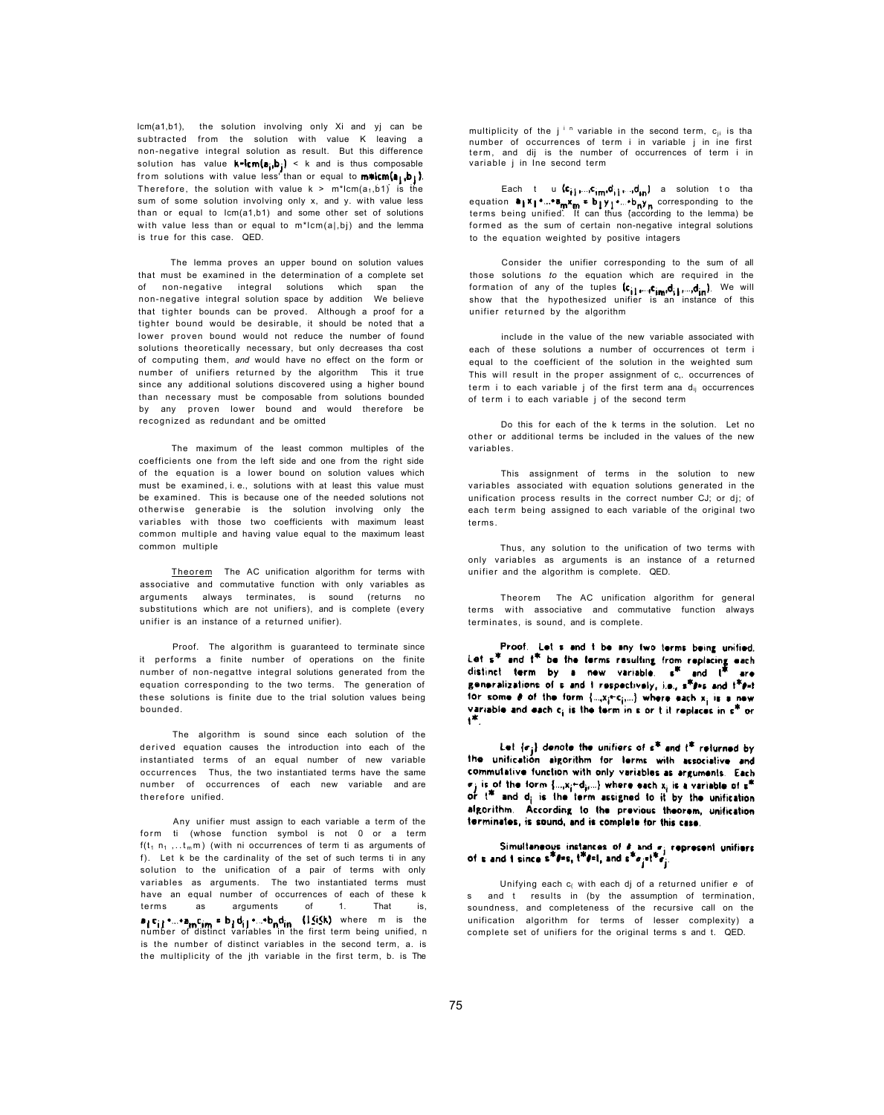lcm(a1,b1), the solution involving only Xi and yj can be subtracted from the solution with value K leaving a non-negative integral solution as result. But this difference solution has value  $k\text{-}\mathsf{lcm}(a_{i_1}b_{i_1})$  < k and is thus composable from solutions with value less than or equal to  $\mathsf{m}\text{-}\mathsf{Sim}(a_1, b_1)$ . Therefore, the solution with value  $k > m^*lcm(a_1,b_1)$  is the sum of some solution involving only x, and y. with value less than or equal to lcm(a1,b1) and some other set of solutions with value less than or equal to  $m^*lcm(a|,b)$  and the lemma is true for this case. QED.

The lemma proves an upper bound on solution values that must be examined in the determination of a complete set of non-negative integral solutions which span the non-negative integral solution space by addition We believe that tighter bounds can be proved. Although a proof for a tighter bound would be desirable, it should be noted that a lower proven bound would not reduce the number of found solutions theoretically necessary, but only decreases tha cost of computing them, *and* would have no effect on the form or number of unifiers returned by the algorithm This it true since any additional solutions discovered using a higher bound than necessary must be composable from solutions bounded by any proven lower bound and would therefore be recognized as redundant and be omitted

Theorem The AC unification algorithm for terms with associative and commutative function with only variables as arguments always terminates, is sound (returns no substitutions which are not unifiers), and is complete (every unifier is an instance of a returned unifier).

number of occurrences of each new variable and are therefore unified.

The maximum of the least common multiples of the coefficients one from the left side and one from the right side of the equation is a lower bound on solution values which must be examined, i. e., solutions with at least this value must be examined. This is because one of the needed solutions not otherwise generabie is the solution involving only the variables with those two coefficients with maximum least common multiple and having value equal to the maximum least common multiple

multiplicity of the  $j<sup>i n</sup>$  variable in the second term,  $c_{ji}$  is tha number of occurrences of term i in variable j in ine first term, and dij is the number of occurrences of term i in variable j in Ine second term

Each t u  $(c_{i1}, c_{im}, c_{im}, d_{in})$  a solution to tha equation  $a_1x_1 \cdot ... \cdot a_mx_m = b_1y_1 \cdot ... \cdot b_ny_n$  corresponding to the terms being unified. It can thus (according to the lemma) be formed as the sum of certain non-negative integral solutions to the equation weighted by positive intagers

Proof. The algorithm is guaranteed to terminate since it performs a finite number of operations on the finite number of non-negattve integral solutions generated from the equation corresponding to the two terms. The generation of these solutions is finite due to the trial solution values being bounded.

The algorithm is sound since each solution of the derived equation causes the introduction into each of the instantiated terms of an equal number of new variable occurrences Thus, the two instantiated terms have the same

Any unifier must assign to each variable a term of the form ti (whose function symbol is not 0 or a term  $f(t_1 n_1, \ldots t_m m)$  (with ni occurrences of term ti as arguments of f). Let k be the cardinality of the set of such terms ti in any solution to the unification of a pair of terms with only variables as arguments. The two instantiated terms must have an equal number of occurrences of each of these k terms as arguments of 1. That is, where m is the number of distinct variables in the first term being unified, n is the number of distinct variables in the second term, a. is the multiplicity of the jth variable in the first term, b. is The

 $\sigma_j$  is of the form {...,x;+d;,...} where each x; is a variable of s" or  $t^*$  and  $d_i$  is the term assigned to it by the unification algorithm. According to the previous theorem, unification terminates, is sound, and is complete for this case.

# Simultaneous instances of  $\theta$  and  $\theta_j$  represent unifiers of s and i since  $s^* \theta^* s$ ,  $t^* \theta = 1$ , and  $s^* \theta_j^* t^* \theta_j$ .

Consider the unifier corresponding to the sum of all those solutions *to* the equation which are required in the formation of any of the tuples  $(c_{i1},c_{i1},d_{i1},d_{i2})$ . We will show that the hypothesized unifier is an instance of this unifier returned by the algorithm

include in the value of the new variable associated with each of these solutions a number of occurrences ot term i equal to the coefficient of the solution in the weighted sum This will result in the proper assignment of c, occurrences of term i to each variable j of the first term ana  $d_{ii}$  occurrences of term i to each variable j of the second term

Do this for each of the k terms in the solution. Let no other or additional terms be included in the values of the new variables.

This assignment of terms in the solution to new variables associated with equation solutions generated in the unification process results in the correct number CJ; or dj; of each term being assigned to each variable of the original two terms.

Thus, any solution to the unification of two terms with only variables as arguments is an instance of a returned unifier and the algorithm is complete. QED.

Theorem The AC unification algorithm for general terms with associative and commutative function always terminates, is sound, and is complete.

Proof. Let s and t be any two terms being unified. Let s\* and t\* be the terms resulting from replacing each distinct term by a new variable.  $\epsilon^{ik}$  and  $\tilde{\epsilon}^{ik}$  are generalizations of s and 1 respectively, i.e., s\*8=s and t\*8=t for some  $\theta$  of the form  $\{...x_j+c_{j_1}...\}$  where each  $x_j$  is a new variable and each  $c_i$  is the term in a or t it replaces in  $s^{\#}$  or

Let  $\{\sigma_j\}$  denote the unifiers of  $s^*$  and  $t^*$  returned by the unification algorithm for terms with associative and commutative function with only variables as arguments. Each

Unifying each c( with each dj of a returned unifier *e* of s and t results in (by the assumption of termination, soundness, and completeness of the recursive call on the unification algorithm for terms of lesser complexity) a complete set of unifiers for the original terms s and t. QED.